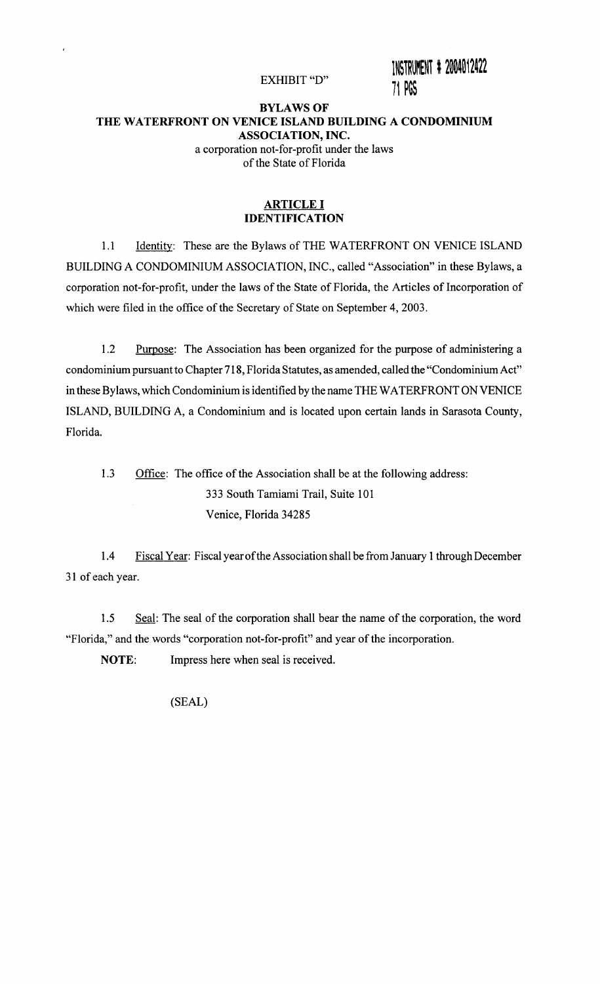EXHIBIT "D"

INSTRUMENT # 2004012422 71 PGS

### BYLAWS OF THE WATERFRONT ON VENICE ISLAND BUILDING A CONDOMINIUM ASSOCIATION, INC. a corporation not-for-profit under the laws of the State of Florida

#### ARTICLE I IDENTIFICATION

1.1 Identity: These are the Bylaws of THE WATERFRONT ON VENICE ISLAND BUILDING A CONDOMINIUM ASSOCIATION, INC., called "Association" in these Bylaws, a corporation not-for-profit, under the laws of the State of Florida, the Articles of Incorporation of which were filed in the office of the Secretary of State on September 4, 2003.

1.2 Purpose: The Association has been organized for the purpose of administering a condominium pursuant to Chapter 718, Florida Statutes, as amended, called the "Condominium Act" in these Bylaws, which Condominium is identified by the name THE WATERFRONT ON VENICE ISLAND, BUILDING A, a Condominium and is located upon certain lands in Sarasota County, Florida.

1.3 Office: The office of the Association shall be at the following address: 333 South Tamiami Trail, Suite 101 Venice, Florida 34285

1.4 Fiscal Year: Fiscal year of the Association shall be from January 1 through December 31 of each year.

1.5 Seal: The seal of the corporation shall bear the name of the corporation, the word "Florida," and the words "corporation not-for-profit" and year of the incorporation.

NOTE: Impress here when seal is received.

(SEAL)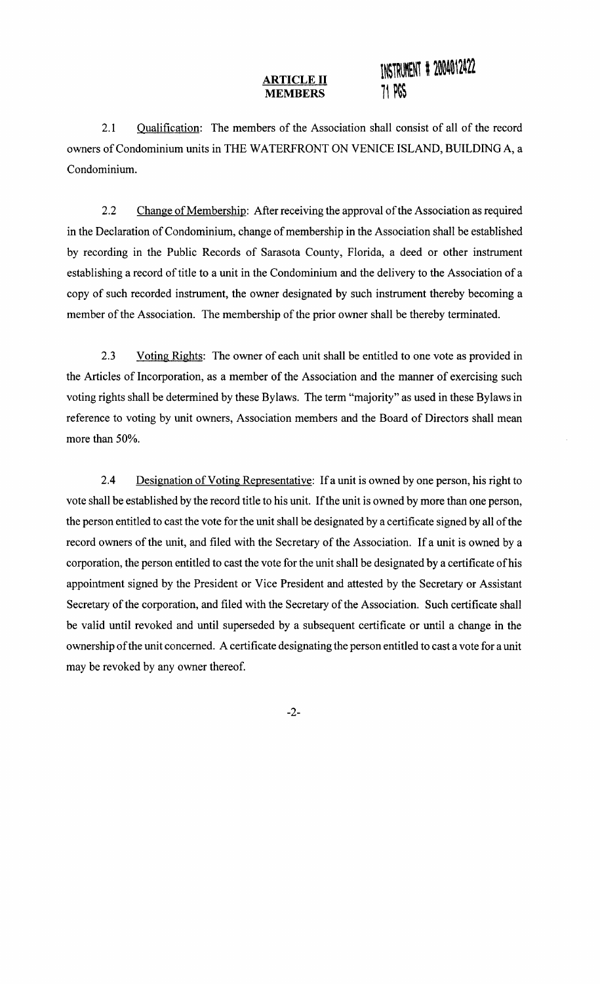2.1 Qualification: The members of the Association shall consist of all of the record owners of Condominium units in THE WATERFRONT ON VENICE ISLAND, BUILDING A, a Condominium.

2.2 Change of Membership: After receiving the approval of the Association as required in the Declaration of Condominium, change of membership in the Association shall be established by recording in the Public Records of Sarasota County, Florida, a deed or other instrument establishing a record of title to a unit in the Condominium and the delivery to the Association of a copy of such recorded instrument, the owner designated by such instrument thereby becoming a member of the Association. The membership of the prior owner shall be thereby terminated.

2.3 Voting Rights: The owner of each unit shall be entitled to one vote as provided in the Articles of Incorporation, as a member of the Association and the manner of exercising such voting rights shall be determined by these Bylaws. The term "majority" as used in these Bylaws in reference to voting by unit owners, Association members and the Board of Directors shall mean more than 50%.

2.4 Designation of Voting Representative: If a unit is owned by one person, his right to vote shall be established by the record title to his unit. If the unit is owned by more than one person, the person entitled to cast the vote for the unit shall be designated by a certificate signed by all of the record owners of the unit, and filed with the Secretary of the Association. If a unit is owned by a corporation, the person entitled to cast the vote for the unit shall be designated by a certificate of his appointment signed by the President or Vice President and attested by the Secretary or Assistant Secretary of the corporation, and filed with the Secretary of the Association. Such certificate shall be valid until revoked and until superseded by a subsequent certificate or until a change in the ownership of the unit concerned. A certificate designating the person entitled to cast a vote for a unit may be revoked by any owner thereof.

-2-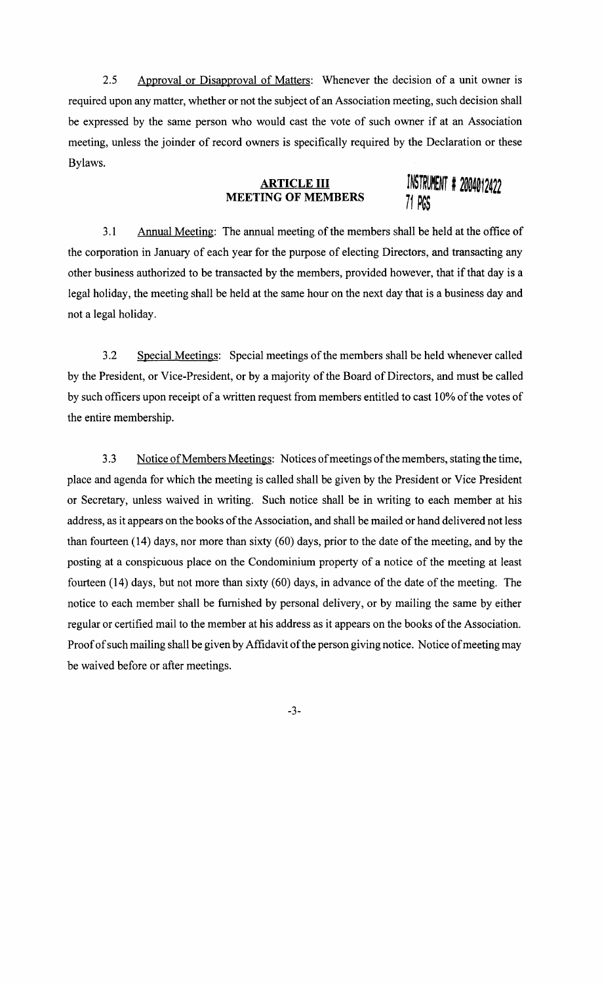2.5 Approval or Disapproval of Matters: Whenever the decision of a unit owner is required upon any matter, whether or not the subject of an Association meeting, such decision shall be expressed by the same person who would cast the vote of such owner if at an Association meeting, unless the joinder of record owners is specifically required by the Declaration or these Bylaws.

## **ARTICLE III MEETING OF MEMBERS INSTRUMENT # 2004012422**<br>MEETING OF MEMBERS 71 DCC

*i1* PG~

3.1 Annual Meeting: The annual meeting of the members shall be held at the office of the corporation in January of each year for the purpose of electing Directors, and transacting any other business authorized to be transacted by the members, provided however, that if that day is a legal holiday, the meeting shall be held at the same hour on the next day that is a business day and not a legal holiday.

3.2 Special Meetings: Special meetings of the members shall be held whenever called by the President, or Vice-President, or by a majority of the Board of Directors, and must be called by such officers upon receipt of a written request from members entitled to cast 10% of the votes of the entire membership.

3.3 Notice of Members Meetings: Notices of meetings of the members, stating the time, place and agenda for which the meeting is called shall be given by the President or Vice President or Secretary, unless waived in writing. Such notice shall be in writing to each member at his address, as it appears on the books of the Association, and shall be mailed or hand delivered not less than fourteen (14) days, nor more than sixty (60) days, prior to the date of the meeting, and by the posting at a conspicuous place on the Condominium property of a notice of the meeting at least fourteen (14) days, but not more than sixty (60) days, in advance of the date of the meeting. The notice to each member shall be furnished by personal delivery, or by mailing the same by either regular or certified mail to the member at his address as it appears on the books of the Association. Proof of such mailing shall be given by Affidavit of the person giving notice. Notice of meeting may be waived before or after meetings.

-3-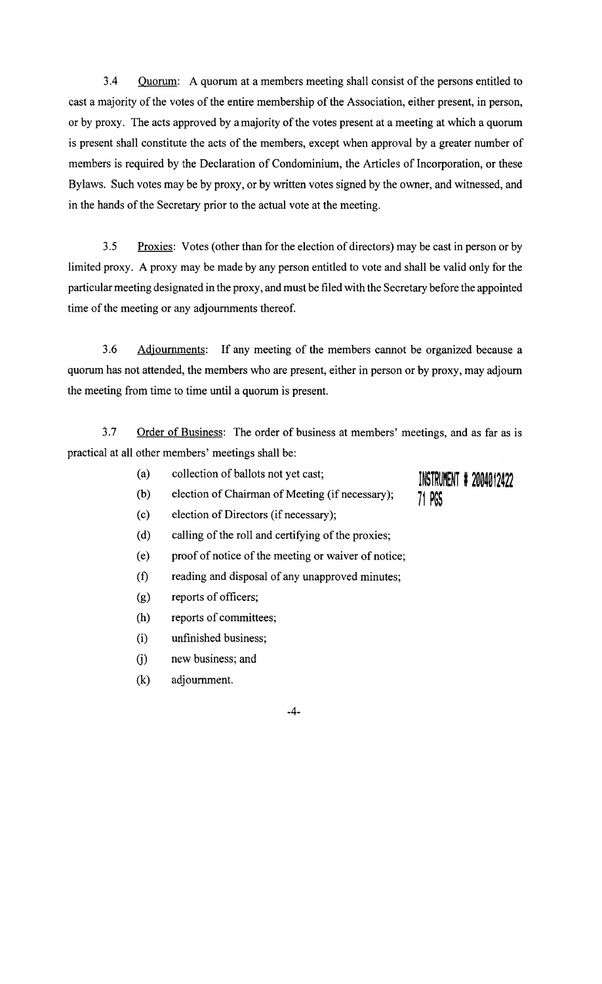3.4 Quorum: A quorum at a members meeting shall consist of the persons entitled to cast a majority of the votes of the entire membership of the Association, either present, in person, or by proxy. The acts approved by a majority of the votes present at a meeting at which a quorum is present shall constitute the acts of the members, except when approval by a greater number of members is required by the Declaration of Condominium, the Articles of Incorporation, or these Bylaws. Such votes may be by proxy, or by written votes signed by the owner, and witnessed, and in the hands of the Secretary prior to the actual vote at the meeting.

3.5 Proxies: Votes (other than for the election of directors) may be cast in person or by limited proxy. A proxy may be made by any person entitled to vote and shall be valid only for the particular meeting designated in the proxy, and must be filed with the Secretary before the appointed time of the meeting or any adjournments thereof.

3.6 Adjournments: If any meeting of the members cannot be organized because a quorum has not attended, the members who are present, either in person or by proxy, may adjourn the meeting from time to time until a quorum is present.

3.7 Order of Business: The order of business at members' meetings, and as far as is practical at all other members' meetings shall be:

- (a) collection of ballots not yet cast;
- (b) election of Chairman of Meeting (if necessary);
- INSTRUMENT # 2004012422 71 PGS
- (c) election of Directors (if necessary);
- (d) calling of the roll and certifying of the proxies;
- (e) proof of notice of the meeting or waiver of notice;
- (f) reading and disposal of any unapproved minutes;
- (g) reports of officers;
- (h) reports of committees;
- (i) unfinished business;
- G) new business; and
- (k) adjournment.

-4-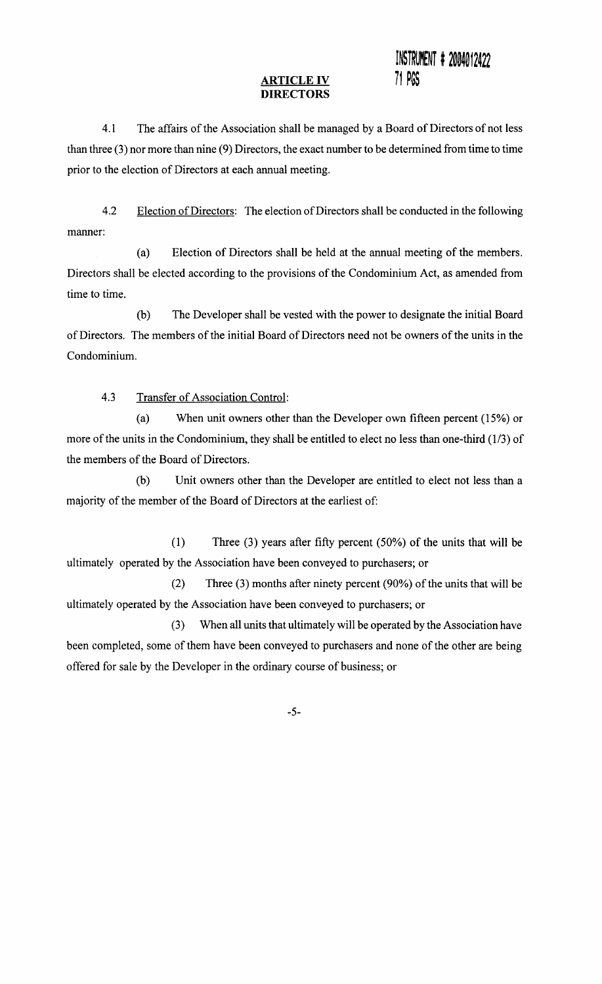#### **ARTICLE IV DIRECTORS**

## INSTRUMENT # 2004012422 **i1** PG~

4.1 The affairs of the Association shall be managed by a Board of Directors of not less than three (3) nor more than nine (9) Directors, the exact number to be determined from time to time prior to the election of Directors at each annual meeting.

4.2 Election of Directors: The election of Directors shall be conducted in the following manner:

(a) Election of Directors shall be held at the annual meeting of the members. Directors shall be elected according to the provisions of the Condominium Act, as amended from time to time.

(b) The Developer shall be vested with the power to designate the initial Board ofDirectors. The members of the initial Board of Directors need not be owners of the units in the Condominium.

4.3 Transfer of Association Control:

(a) When unit owners other than the Developer own fifteen percent (15%) or more of the units in the Condominium, they shall be entitled to elect no less than one-third (1/3) of the members of the Board of Directors.

(b) Unit owners other than the Developer are entitled to elect not less than a majority of the member of the Board of Directors at the earliest of:

(1) Three (3) years after fifty percent (50%) of the units that will be ultimately operated by the Association have been conveyed to purchasers; or

(2) Three (3) months after ninety percent (90%) of the units that will be ultimately operated by the Association have been conveyed to purchasers; or

(3) When all units that ultimately will be operated by the Association have been completed, some of them have been conveyed to purchasers and none of the other are being offered for sale by the Developer in the ordinary course of business; or

-5-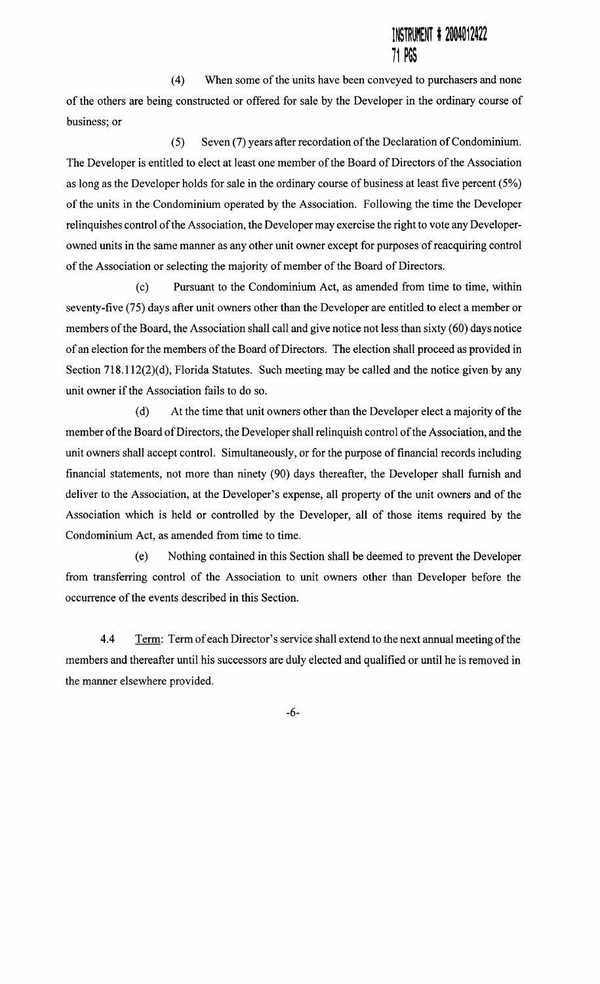(4) When some of the units have been conveyed to purchasers and none of the others are being constructed or offered for sale by the Developer in the ordinary course of business; or

(5) Seven (7) years after recordation of the Declaration of Condominium. The Developer is entitled to elect at least one member of the Board of Directors of the Association as long as the Developer holds for sale in the ordinary course of business at least five percent (5%) of the units in the Condominium operated by the Association. Following the time the Developer relinquishes control of the Association, the Developer may exercise the right to vote any Developerowned units in the same manner as any other unit owner except for purposes of reacquiring control of the Association or selecting the majority of member of the Board of Directors.

(c) Pursuant to the Condominium Act, as amended from time to time, within seventy-five (75) days after unit owners other than the Developer are entitled to elect a member or members of the Board, the Association shall call and give notice not less than sixty (60) days notice of an election for the members of the Board of Directors. The election shall proceed as provided in Section 718.112(2)(d), Florida Statutes. Such meeting may be called and the notice given by any unit owner if the Association fails to do so.

(d) At the time that unit owners other than the Developer elect a majority of the member of the Board of Directors, the Developer shall relinquish control of the Association, and the unit owners shall accept control. Simultaneously, or for the purpose of financial records including financial statements, not more than ninety (90) days thereafter, the Developer shall furnish and deliver to the Association, at the Developer's expense, all property of the unit owners and of the Association which is held or controlled by the Developer, all of those items required by the Condominium Act, as amended from time to time.

(e) Nothing contained in this Section shall be deemed to prevent the Developer from transferring control of the Association to unit owners other than Developer before the occurrence of the events described in this Section.

4.4 Term: Term of each Director's service shall extend to the next annual meeting of the members and thereafter until his successors are duly elected and qualified or until he is removed in the manner elsewhere provided.

-6-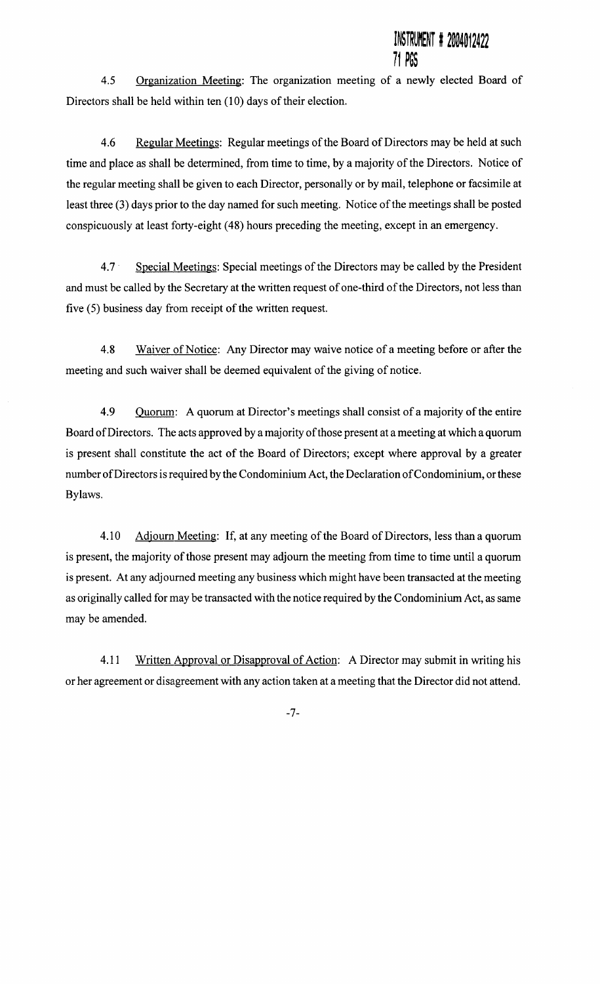## STRUMENT # 2004012422 11 ~~~

4.5 Organization Meeting: The organization meeting of a newly elected Board of Directors shall be held within ten (10) days of their election.

4.6 Regular Meetings: Regular meetings of the Board of Directors may be held at such time and place as shall be determined, from time to time, by a majority of the Directors. Notice of the regular meeting shall be given to each Director, personally or by mail, telephone or facsimile at least three (3) days prior to the day named for such meeting. Notice of the meetings shall be posted conspicuously at least forty-eight ( 48) hours preceding the meeting, except in an emergency.

4.7 · Special Meetings: Special meetings of the Directors may be called by the President and must be called by the Secretary at the written request of one-third of the Directors, not less than five (5) business day from receipt of the written request.

4.8 Waiver of Notice: Any Director may waive notice of a meeting before or after the meeting and such waiver shall be deemed equivalent of the giving of notice.

4.9 Quorum: A quorum at Director's meetings shall consist of a majority of the entire Board of Directors. The acts approved by a majority of those present at a meeting at which a quorum is present shall constitute the act of the Board of Directors; except where approval by a greater number ofDirectors is required by the Condominium Act, the Declaration of Condominium, or these Bylaws.

4.10 Adjourn Meeting: If, at any meeting of the Board of Directors, less than a quorum is present, the majority of those present may adjourn the meeting from time to time until a quorum is present. At any adjourned meeting any business which might have been transacted at the meeting as originally called for may be transacted with the notice required by the Condominium Act, as same may be amended.

4.11 Written Approval or Disapproval of Action: A Director may submit in writing his or her agreement or disagreement with any action taken at a meeting that the Director did not attend.

-7-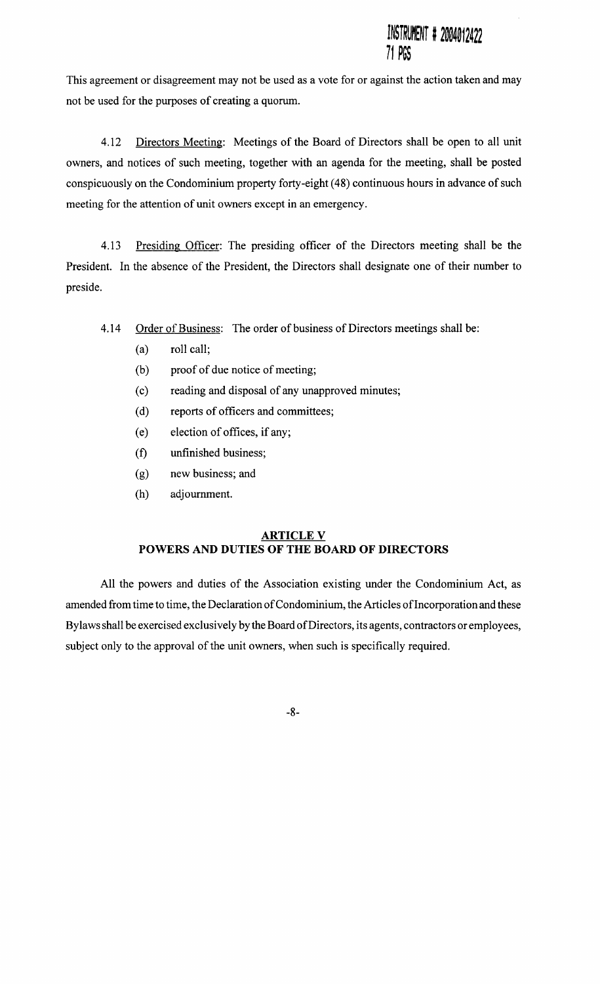This agreement or disagreement may not be used as a vote for or against the action taken and may not be used for the purposes of creating a quorum.

4.12 Directors Meeting: Meetings of the Board of Directors shall be open to all unit owners, and notices of such meeting, together with an agenda for the meeting, shall be posted conspicuously on the Condominium property forty-eight ( 48) continuous hours in advance of such meeting for the attention of unit owners except in an emergency.

4.13 Presiding Officer: The presiding officer of the Directors meeting shall be the President. In the absence of the President, the Directors shall designate one of their number to preside.

4.14 Order of Business: The order of business of Directors meetings shall be:

- (a) roll call;
- (b) proof of due notice of meeting;
- (c) reading and disposal of any unapproved minutes;
- (d) reports of officers and committees;
- (e) election of offices, if any;
- (f) unfinished business;
- (g) new business; and
- (h) adjournment.

## **ARTICLE V POWERS AND DUTIES OF THE BOARD OF DIRECTORS**

All the powers and duties of the Association existing under the Condominium Act, as amended from time to time, the Declaration of Condominium, the Articles of Incorporation and these By laws shall be exercised exclusively by the Board of Directors, its agents, contractors or employees, subject only to the approval of the unit owners, when such is specifically required.

-8-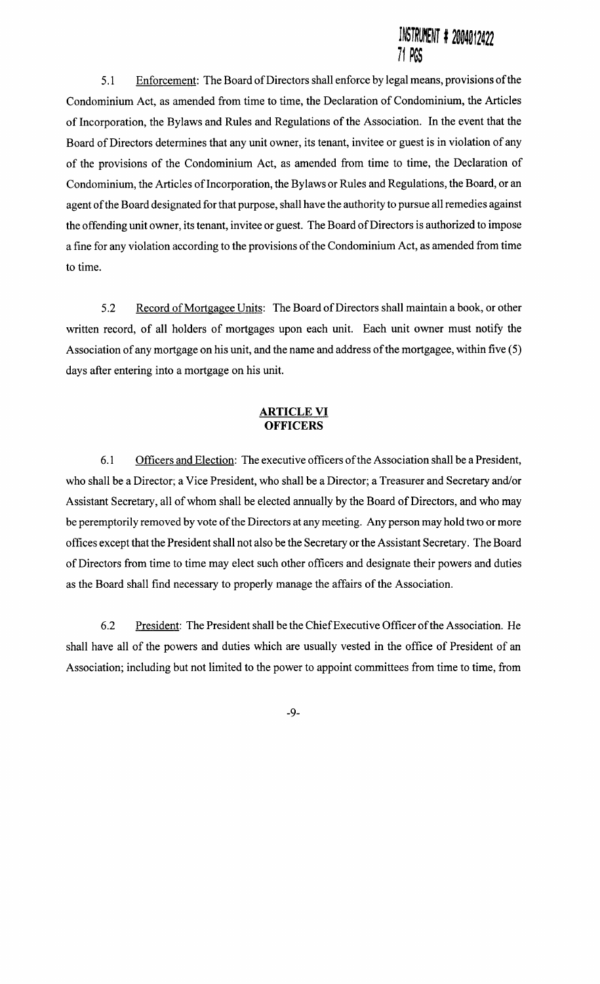5.1 Enforcement: The Board of Directors shall enforce by legal means, provisions of the Condominium Act, as amended from time to time, the Declaration of Condominium, the Articles of Incorporation, the Bylaws and Rules and Regulations of the Association. In the event that the Board of Directors determines that any unit owner, its tenant, invitee or guest is in violation of any of the provisions of the Condominium Act, as amended from time to time, the Declaration of Condominium, the Articles of Incorporation, the Bylaws or Rules and Regulations, the Board, or an agent of the Board designated for that purpose, shall have the authority to pursue all remedies against the offending unit owner, its tenant, invitee or guest. The Board of Directors is authorized to impose a fine for any violation according to the provisions of the Condominium Act, as amended from time to time.

5.2 Record of Mortgagee Units: The Board of Directors shall maintain a book, or other written record, of all holders of mortgages upon each unit. Each unit owner must notify the Association of any mortgage on his unit, and the name and address of the mortgagee, within five (5) days after entering into a mortgage on his unit.

#### **ARTICLE VI OFFICERS**

6.1 Officers and Election: The executive officers of the Association shall be a President, who shall be a Director:; a Vice President, who shall be a Director; a Treasurer and Secretary and/or Assistant Secretary, all of whom shall be elected annually by the Board of Directors, and who may be peremptorily removed by vote of the Directors at any meeting. Any person may hold two or more offices except that the President shall not also be the Secretary or the Assistant Secretary. The Board of Directors from time to time may elect such other officers and designate their powers and duties as the Board shall find necessary to properly manage the affairs of the Association.

6.2 President: The President shall be the ChiefExecutive Officer of the Association. He shall have all of the powers and duties which are usually vested in the office of President of an Association; including but not limited to the power to appoint committees from time to time, from

-9-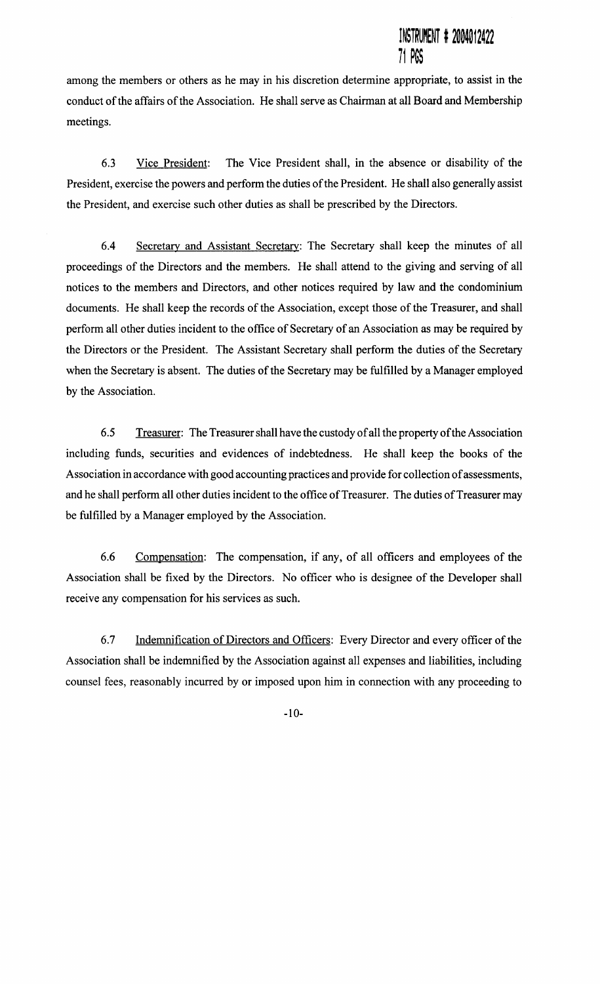among the members or others as he may in his discretion determine appropriate, to assist in the conduct of the affairs of the Association. He shall serve as Chairman at all Board and Membership meetings.

6.3 Vice President: The Vice President shall, in the absence or disability of the President, exercise the powers and perform the duties of the President. He shall also generally assist the President, and exercise such other duties as shall be prescribed by the Directors.

6.4 Secretary and Assistant Secretary: The Secretary shall keep the minutes of all proceedings of the Directors and the members. He shall attend to the giving and serving of all notices to the members and Directors, and other notices required by law and the condominium documents. He shall keep the records of the Association, except those of the Treasurer, and shall perform all other duties incident to the office of Secretary of an Association as may be required by the Directors or the President. The Assistant Secretary shall perform the duties of the Secretary when the Secretary is absent. The duties of the Secretary may be fulfilled by a Manager employed by the Association.

6.5 Treasurer: The Treasurer shall have the custody of all the property of the Association including funds, securities and evidences of indebtedness. He shall keep the books of the Association in accordance with good accounting practices and provide for collection of assessments, and he shall perform all other duties incident to the office of Treasurer. The duties of Treasurer may be fulfilled by a Manager employed by the Association.

6.6 Compensation: The compensation, if any, of all officers and employees of the Association shall be fixed by the Directors. No officer who is designee of the Developer shall receive any compensation for his services as such.

6.7 Indemnification of Directors and Officers: Every Director and every officer of the Association shall be indemnified by the Association against all expenses and liabilities, including counsel fees, reasonably incurred by or imposed upon him in connection with any proceeding to

-10-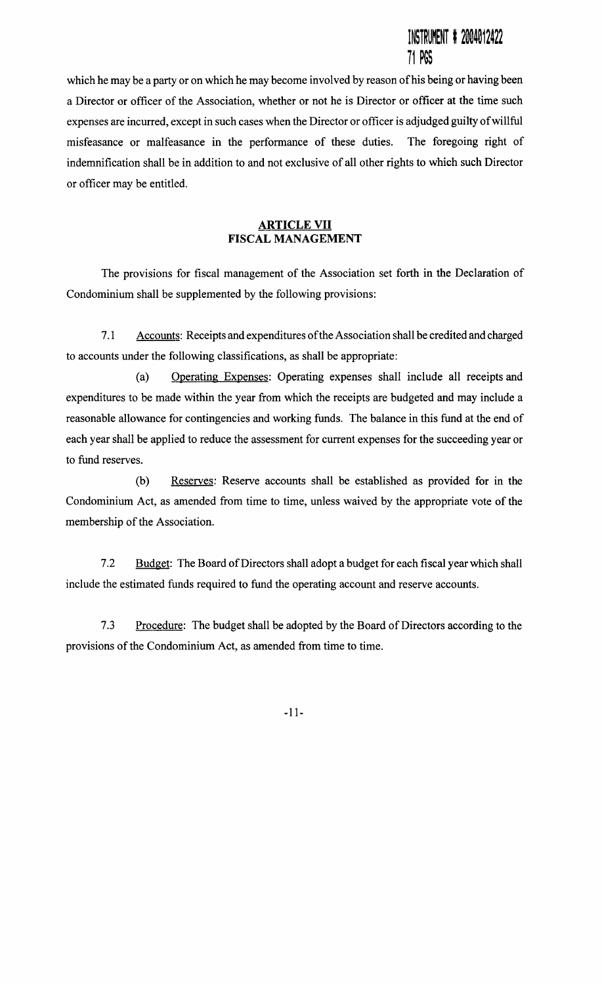## ~~~~~ij~~~~ I ~~~~~1~~~~ 71 PGS

which he may be a party or on which he may become involved by reason of his being or having been a Director or officer of the Association, whether or not he is Director or officer at the time such expenses are incurred, except in such cases when the Director or officer is adjudged guilty of willful misfeasance or malfeasance in the performance of these duties. The foregoing right of indemnification shall be in addition to and not exclusive of all other rights to which such Director or officer may be entitled.

### ARTICLE VII FISCAL MANAGEMENT

The provisions for fiscal management of the Association set forth in the Declaration of Condominium shall be supplemented by the following provisions:

7.1 Accounts: Receipts and expenditures ofthe Association shall be credited and charged to accounts under the following classifications, as shall be appropriate:

(a) Operating Expenses: Operating expenses shall include all receipts and expenditures to be made within the year from which the receipts are budgeted and may include a reasonable allowance for contingencies and working funds. The balance in this fund at the end of each year shall be applied to reduce the assessment for current expenses for the succeeding year or to fund reserves.

(b) Reserves: Reserve accounts shall be established as provided for in the Condominium Act, as amended from time to time, unless waived by the appropriate vote of the membership of the Association.

7.2 Budget: The Board of Directors shall adopt a budget for each fiscal year which shall include the estimated funds required to fund the operating account and reserve accounts.

7.3 Procedure: The budget shall be adopted by the Board of Directors according to the provisions of the Condominium Act, as amended from time to time.

-11-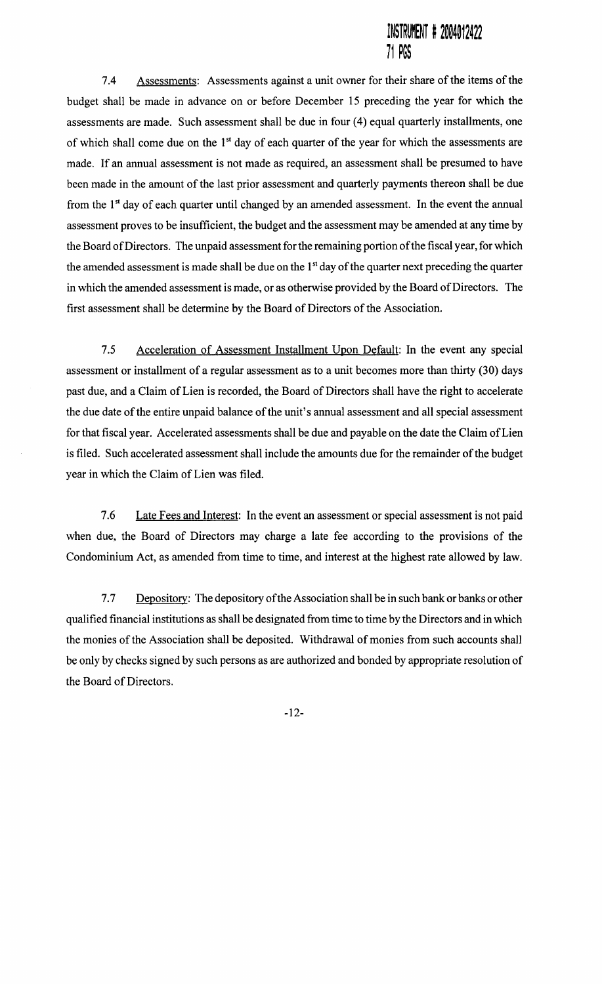7.4 Assessments: Assessments against a unit owner for their share of the items of the budget shall be made in advance on or before December 15 preceding the year for which the assessments are made. Such assessment shall be due in four (4) equal quarterly installments, one of which shall come due on the 1<sup>st</sup> day of each quarter of the year for which the assessments are made. If an annual assessment is not made as required, an assessment shall be presumed to have been made in the amount of the last prior assessment and quarterly payments thereon shall be due from the 1<sup>st</sup> day of each quarter until changed by an amended assessment. In the event the annual assessment proves to be insufficient, the budget and the assessment may be amended at any time by the Board ofDirectors. The unpaid assessment for the remaining portion of the fiscal year, for which the amended assessment is made shall be due on the 1<sup>st</sup> day of the quarter next preceding the quarter in which the amended assessment is made, or as otherwise provided by the Board of Directors. The first assessment shall be determine by the Board of Directors of the Association.

7.5 Acceleration of Assessment Installment Upon Default: In the event any special assessment or installment of a regular assessment as to a unit becomes more than thirty (30) days past due, and a Claim of Lien is recorded, the Board of Directors shall have the right to accelerate the due date of the entire unpaid balance of the unit's annual assessment and all special assessment for that fiscal year. Accelerated assessments shall be due and payable on the date the Claim of Lien is filed. Such accelerated assessment shall include the amounts due for the remainder of the budget year in which the Claim of Lien was filed.

7.6 Late Fees and Interest: In the event an assessment or special assessment is not paid when due, the Board of Directors may charge a late fee according to the provisions of the Condominium Act, as amended from time to time, and interest at the highest rate allowed by law.

7.7 Depository: The depository of the Association shall be in such bank or banks or other qualified financial institutions as shall be designated from time to time by the Directors and in which the monies of the Association shall be deposited. Withdrawal of monies from such accounts shall be only by checks signed by such persons as are authorized and bonded by appropriate resolution of the Board of Directors.

-12-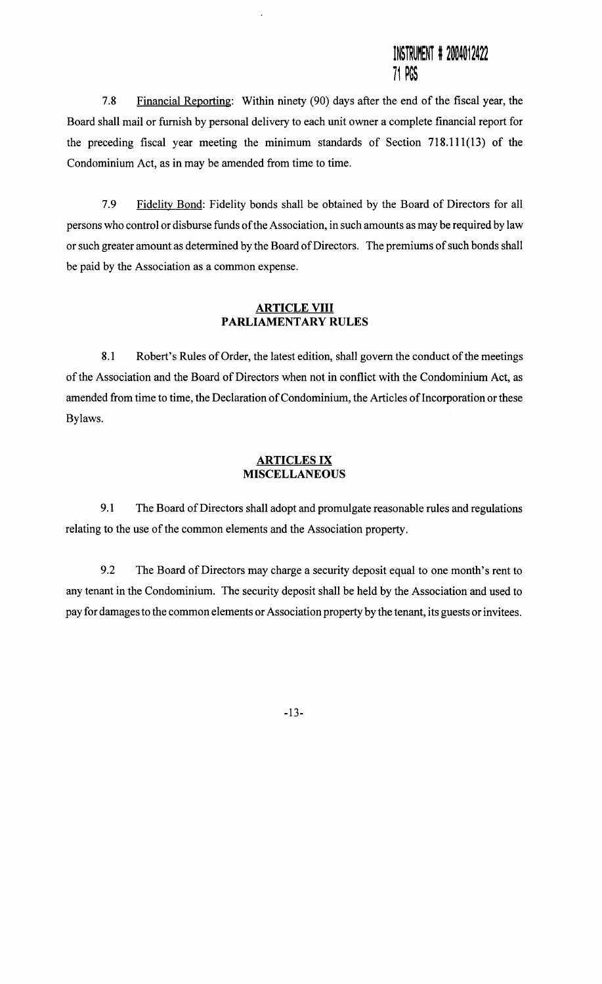7.8 Financial Reporting: Within ninety (90) days after the end of the fiscal year, the Board shall mail or furnish by personal delivery to each unit owner a complete financial report for the preceding fiscal year meeting the minimum standards of Section 718.111(13) of the Condominium Act, as in may be amended from time to time.

7.9 Fidelity Bond: Fidelity bonds shall be obtained by the Board of Directors for all persons who control or disburse funds of the Association, in such amounts as may be required by law or such greater amount as determined by the Board of Directors. The premiums of such bonds shall be paid by the Association as a common expense.

### **ARTICLE VIII** PARLIAMENTARY RULES

8.1 Robert's Rules of Order, the latest edition, shall govern the conduct of the meetings of the Association and the Board of Directors when not in conflict with the Condominium Act, as amended from time to time, the Declaration of Condominium, the Articles of Incorporation or these Bylaws.

#### ARTICLES IX MISCELLANEOUS

9.1 The Board of Directors shall adopt and promulgate reasonable rules and regulations relating to the use of the common elements and the Association property.

9.2 The Board of Directors may charge a security deposit equal to one month's rent to any tenant in the Condominium. The security deposit shall be held by the Association and used to pay for damages to the common elements or Association property by the tenant, its guests or invitees.

-13-